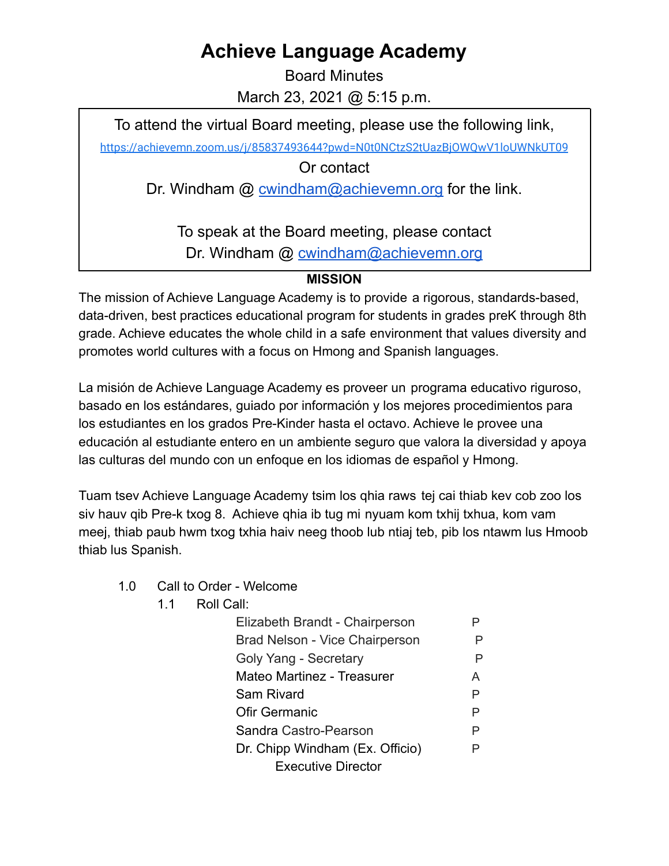## **Achieve Language Academy**

Board Minutes March 23, 2021 @ 5:15 p.m.

To attend the virtual Board meeting, please use the following link,

<https://achievemn.zoom.us/j/85837493644?pwd=N0t0NCtzS2tUazBjOWQwV1loUWNkUT09>

Or contact

Dr. Windham @ [cwindham@achievemn.org](mailto:cwindham@achievemn.org) for the link.

To speak at the Board meeting, please contact Dr. Windham @ [cwindham@achievemn.org](mailto:cwindham@achievemn.org)

## **MISSION**

The mission of Achieve Language Academy is to provide a rigorous, standards-based, data-driven, best practices educational program for students in grades preK through 8th grade. Achieve educates the whole child in a safe environment that values diversity and promotes world cultures with a focus on Hmong and Spanish languages.

La misión de Achieve Language Academy es proveer un programa educativo riguroso, basado en los estándares, guiado por información y los mejores procedimientos para los estudiantes en los grados Pre-Kinder hasta el octavo. Achieve le provee una educación al estudiante entero en un ambiente seguro que valora la diversidad y apoya las culturas del mundo con un enfoque en los idiomas de español y Hmong.

Tuam tsev Achieve Language Academy tsim los qhia raws tej cai thiab kev cob zoo los siv hauv qib Pre-k txog 8. Achieve qhia ib tug mi nyuam kom txhij txhua, kom vam meej, thiab paub hwm txog txhia haiv neeg thoob lub ntiaj teb, pib los ntawm lus Hmoob thiab lus Spanish.

- 1.0 Call to Order Welcome
	- 1.1 Roll Call:

| Elizabeth Brandt - Chairperson        |   |
|---------------------------------------|---|
| <b>Brad Nelson - Vice Chairperson</b> | Ρ |
| Goly Yang - Secretary                 | P |
| Mateo Martinez - Treasurer            | A |
| Sam Rivard                            | P |
| Ofir Germanic                         | P |
| Sandra Castro-Pearson                 | P |
| Dr. Chipp Windham (Ex. Officio)       | P |
| <b>Executive Director</b>             |   |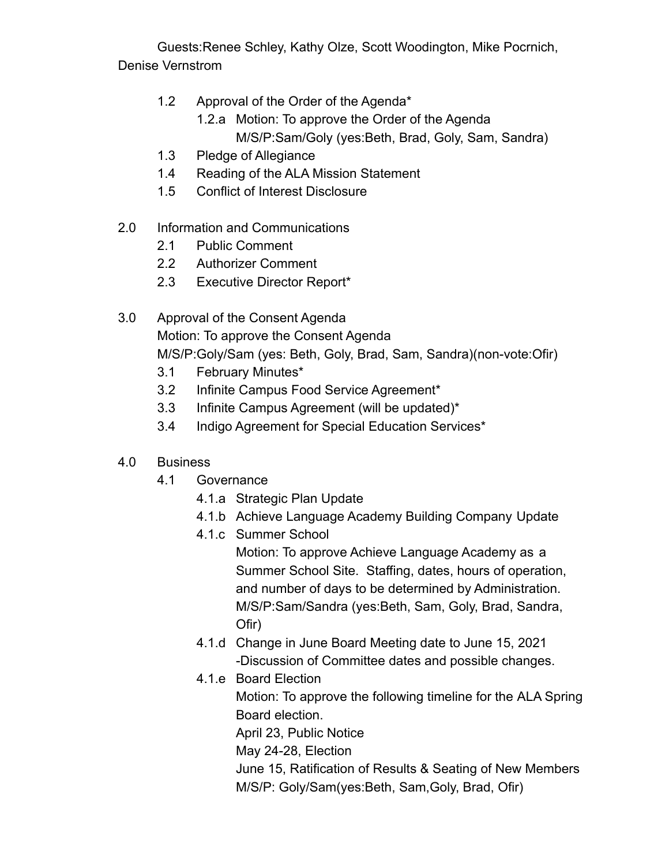Guests:Renee Schley, Kathy Olze, Scott Woodington, Mike Pocrnich, Denise Vernstrom

- 1.2 Approval of the Order of the Agenda\*
	- 1.2.a Motion: To approve the Order of the Agenda M/S/P:Sam/Goly (yes:Beth, Brad, Goly, Sam, Sandra)
- 1.3 Pledge of Allegiance
- 1.4 Reading of the ALA Mission Statement
- 1.5 Conflict of Interest Disclosure
- 2.0 Information and Communications
	- 2.1 Public Comment
	- 2.2 Authorizer Comment
	- 2.3 Executive Director Report\*
- 3.0 Approval of the Consent Agenda Motion: To approve the Consent Agenda M/S/P:Goly/Sam (yes: Beth, Goly, Brad, Sam, Sandra)(non-vote:Ofir)
	- 3.1 February Minutes\*
	- 3.2 Infinite Campus Food Service Agreement\*
	- 3.3 Infinite Campus Agreement (will be updated)\*
	- 3.4 Indigo Agreement for Special Education Services\*
- 4.0 Business
	- 4.1 Governance
		- 4.1.a Strategic Plan Update
		- 4.1.b Achieve Language Academy Building Company Update
		- 4.1.c Summer School

Motion: To approve Achieve Language Academy as a Summer School Site. Staffing, dates, hours of operation, and number of days to be determined by Administration. M/S/P:Sam/Sandra (yes:Beth, Sam, Goly, Brad, Sandra, Ofir)

- 4.1.d Change in June Board Meeting date to June 15, 2021 -Discussion of Committee dates and possible changes.
- 4.1.e Board Election Motion: To approve the following timeline for the ALA Spring Board election. April 23, Public Notice May 24-28, Election June 15, Ratification of Results & Seating of New Members M/S/P: Goly/Sam(yes:Beth, Sam,Goly, Brad, Ofir)